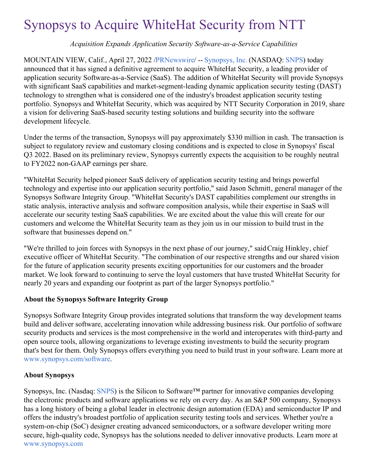# Synopsys to Acquire WhiteHat Security from NTT

*Acquisition Expands Application Security Software-as-a-Service Capabilities*

MOUNTAIN VIEW, Calif., April 27, 2022 [/PRNewswire](http://www.prnewswire.com/)/ -- [Synopsys,](https://c212.net/c/link/?t=0&l=en&o=3518719-1&h=1578183291&u=https%3A%2F%2Fwww.synopsys.com%2F%3Fcmp%3Dpr-sig%26utm_medium%3Dreferral&a=Synopsys%2C+Inc.) Inc. (NASDAQ: [SNPS](https://c212.net/c/link/?t=0&l=en&o=3518719-1&h=2598302365&u=https%3A%2F%2Fwww.synopsys.com%2Fcompany%2Finvestor-relations.html%3Fcmp%3Dpr-sig%26utm_medium%3Dreferral&a=SNPS)) today announced that it has signed a definitive agreement to acquire WhiteHat Security, a leading provider of application security Software-as-a-Service (SaaS). The addition of WhiteHat Security will provide Synopsys with significant SaaS capabilities and market-segment-leading dynamic application security testing (DAST) technology to strengthen what is considered one of the industry's broadest application security testing portfolio. Synopsys and WhiteHat Security, which was acquired by NTT Security Corporation in 2019, share a vision for delivering SaaS-based security testing solutions and building security into the software development lifecycle.

Under the terms of the transaction, Synopsys will pay approximately \$330 million in cash. The transaction is subject to regulatory review and customary closing conditions and is expected to close in Synopsys' fiscal Q3 2022. Based on its preliminary review, Synopsys currently expects the acquisition to be roughly neutral to FY2022 non-GAAP earnings per share.

"WhiteHat Security helped pioneer SaaS delivery of application security testing and brings powerful technology and expertise into our application security portfolio," said Jason Schmitt, general manager of the Synopsys Software Integrity Group. "WhiteHat Security's DAST capabilities complement our strengths in static analysis, interactive analysis and software composition analysis, while their expertise in SaaS will accelerate our security testing SaaS capabilities. We are excited about the value this will create for our customers and welcome the WhiteHat Security team as they join us in our mission to build trust in the software that businesses depend on."

"We're thrilled to join forces with Synopsys in the next phase of our journey," saidCraig Hinkley, chief executive officer of WhiteHat Security. "The combination of our respective strengths and our shared vision for the future of application security presents exciting opportunities for our customers and the broader market. We look forward to continuing to serve the loyal customers that have trusted WhiteHat Security for nearly 20 years and expanding our footprint as part of the larger Synopsys portfolio."

## **About the Synopsys Software Integrity Group**

Synopsys Software Integrity Group provides integrated solutions that transform the way development teams build and deliver software, accelerating innovation while addressing business risk. Our portfolio of software security products and services is the most comprehensive in the world and interoperates with third-party and open source tools, allowing organizations to leverage existing investments to build the security program that's best for them. Only Synopsys offers everything you need to build trust in your software. Learn more at [www.synopsys.com/software](https://c212.net/c/link/?t=0&l=en&o=3518719-1&h=2225181737&u=http%3A%2F%2Fwww.synopsys.com%2Fsoftware%3Fcmp%3Dpr-sig%26utm_medium%3Dreferral&a=www.synopsys.com%2Fsoftware).

## **About Synopsys**

Synopsys, Inc. (Nasdaq: [SNPS](https://c212.net/c/link/?t=0&l=en&o=3518719-1&h=2598302365&u=https%3A%2F%2Fwww.synopsys.com%2Fcompany%2Finvestor-relations.html%3Fcmp%3Dpr-sig%26utm_medium%3Dreferral&a=SNPS)) is the Silicon to Software™ partner for innovative companies developing the electronic products and software applications we rely on every day. As an S&P 500 company, Synopsys has a long history of being a global leader in electronic design automation (EDA) and semiconductor IP and offers the industry's broadest portfolio of application security testing tools and services. Whether you're a system-on-chip (SoC) designer creating advanced semiconductors, or a software developer writing more secure, high-quality code, Synopsys has the solutions needed to deliver innovative products. Learn more at [www.synopsys.com](https://c212.net/c/link/?t=0&l=en&o=3518719-1&h=604565586&u=https%3A%2F%2Fwww.synopsys.com%2F%3Fcmp%3Dpr-sig%26utm_medium%3Dreferral&a=www.synopsys.com)